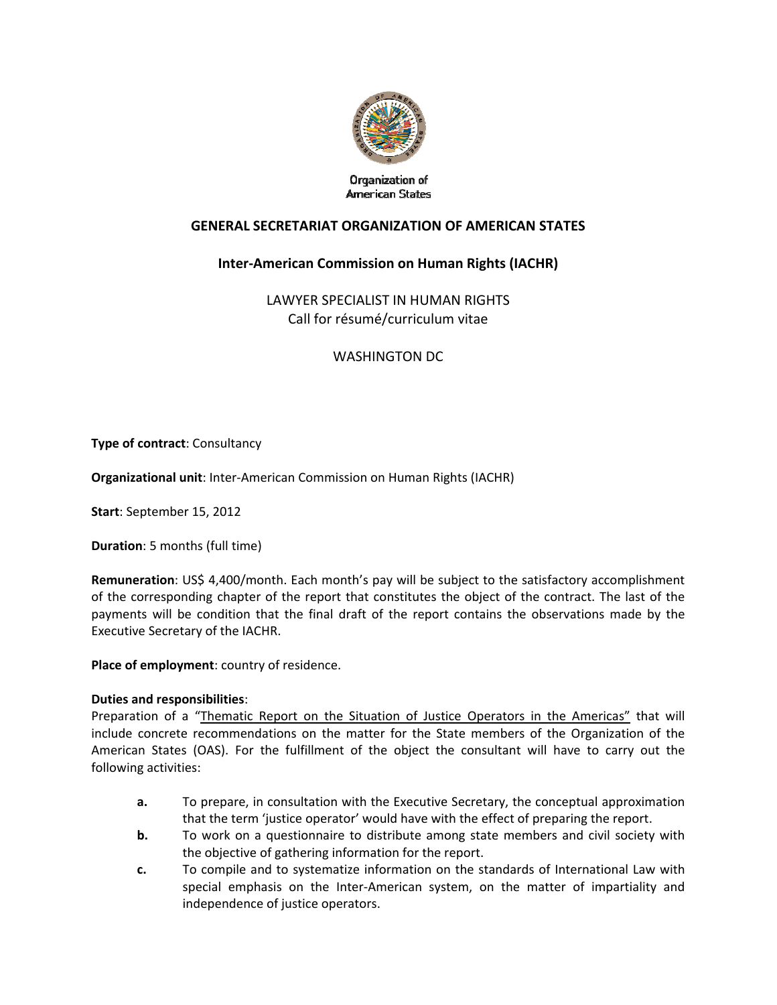

Organization of **American States** 

## **GENERAL SECRETARIAT ORGANIZATION OF AMERICAN STATES**

# **Inter‐American Commission on Human Rights (IACHR)**

LAWYER SPECIALIST IN HUMAN RIGHTS Call for résumé/curriculum vitae

WASHINGTON DC

**Type of contract**: Consultancy

**Organizational unit**: Inter‐American Commission on Human Rights (IACHR)

**Start**: September 15, 2012

**Duration**: 5 months (full time)

**Remuneration**: US\$ 4,400/month. Each month's pay will be subject to the satisfactory accomplishment of the corresponding chapter of the report that constitutes the object of the contract. The last of the payments will be condition that the final draft of the report contains the observations made by the Executive Secretary of the IACHR.

**Place of employment**: country of residence.

#### **Duties and responsibilities**:

Preparation of a "Thematic Report on the Situation of Justice Operators in the Americas" that will include concrete recommendations on the matter for the State members of the Organization of the American States (OAS). For the fulfillment of the object the consultant will have to carry out the following activities:

- **a.** To prepare, in consultation with the Executive Secretary, the conceptual approximation that the term 'justice operator' would have with the effect of preparing the report.
- **b.** To work on a questionnaire to distribute among state members and civil society with the objective of gathering information for the report.
- **c.** To compile and to systematize information on the standards of International Law with special emphasis on the Inter-American system, on the matter of impartiality and independence of justice operators.